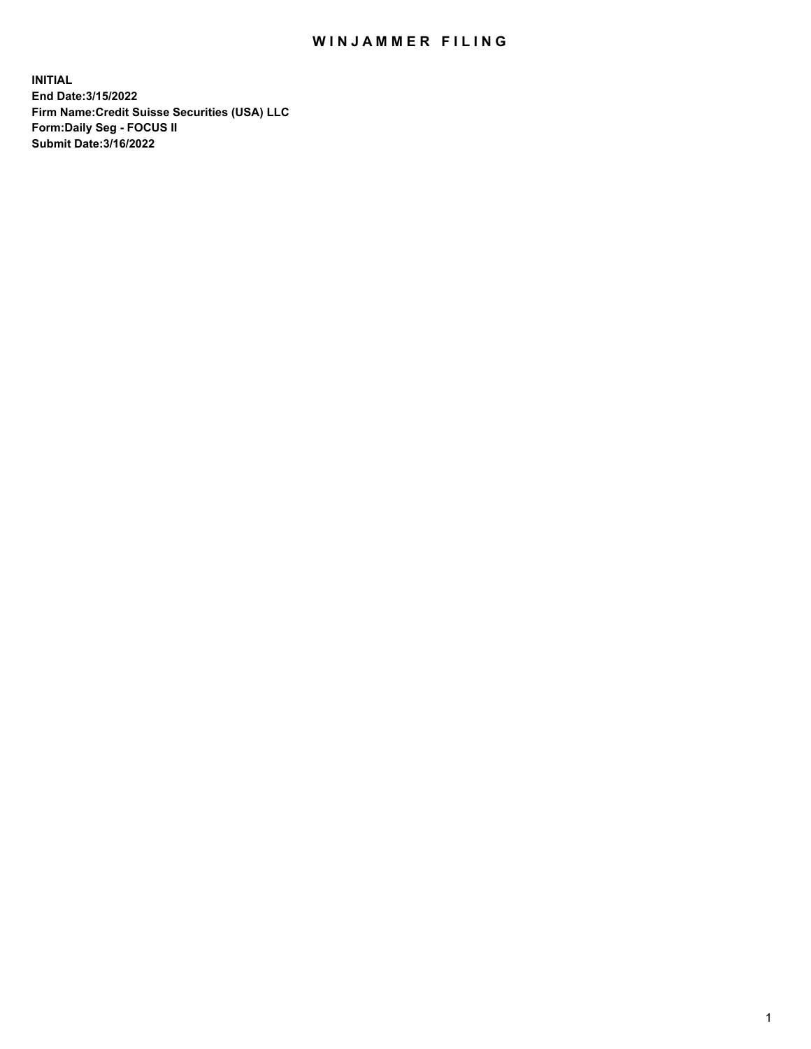## WIN JAMMER FILING

**INITIAL End Date:3/15/2022 Firm Name:Credit Suisse Securities (USA) LLC Form:Daily Seg - FOCUS II Submit Date:3/16/2022**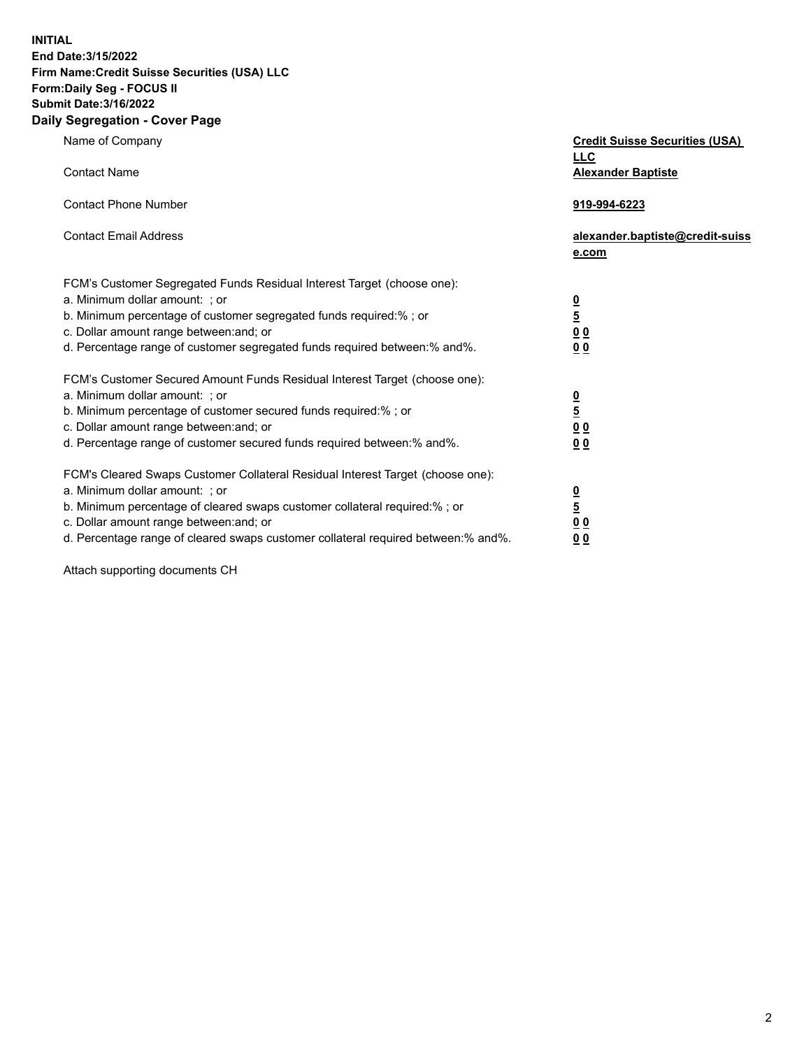**INITIAL End Date:3/15/2022** 

## **Firm Name:Credit Suisse Securities (USA) LLC Form:Daily Seg - FOCUS II Submit Date:3/16/2022**

## **Daily Segregation - Cover Page**

| Name of Company                                                                   | <b>Credit Suisse Securities (USA)</b><br><b>LLC</b> |
|-----------------------------------------------------------------------------------|-----------------------------------------------------|
| <b>Contact Name</b>                                                               | <b>Alexander Baptiste</b>                           |
| <b>Contact Phone Number</b>                                                       | 919-994-6223                                        |
| <b>Contact Email Address</b>                                                      | alexander.baptiste@credit-suiss<br>e.com            |
| FCM's Customer Segregated Funds Residual Interest Target (choose one):            |                                                     |
| a. Minimum dollar amount: ; or                                                    |                                                     |
| b. Minimum percentage of customer segregated funds required:% ; or                | $\frac{0}{5}$                                       |
| c. Dollar amount range between: and; or                                           | 0 <sub>0</sub>                                      |
| d. Percentage range of customer segregated funds required between:% and%.         | 0 <sub>0</sub>                                      |
| FCM's Customer Secured Amount Funds Residual Interest Target (choose one):        |                                                     |
| a. Minimum dollar amount: ; or                                                    | $\frac{0}{5}$                                       |
| b. Minimum percentage of customer secured funds required:% ; or                   |                                                     |
| c. Dollar amount range between: and; or                                           | 0 <sub>0</sub>                                      |
| d. Percentage range of customer secured funds required between:% and%.            | 0 <sub>0</sub>                                      |
| FCM's Cleared Swaps Customer Collateral Residual Interest Target (choose one):    |                                                     |
| a. Minimum dollar amount: ; or                                                    | $\frac{0}{5}$                                       |
| b. Minimum percentage of cleared swaps customer collateral required:% ; or        |                                                     |
| c. Dollar amount range between: and; or                                           | 0 <sub>0</sub>                                      |
| d. Percentage range of cleared swaps customer collateral required between:% and%. | 0 <sub>0</sub>                                      |

Attach supporting documents CH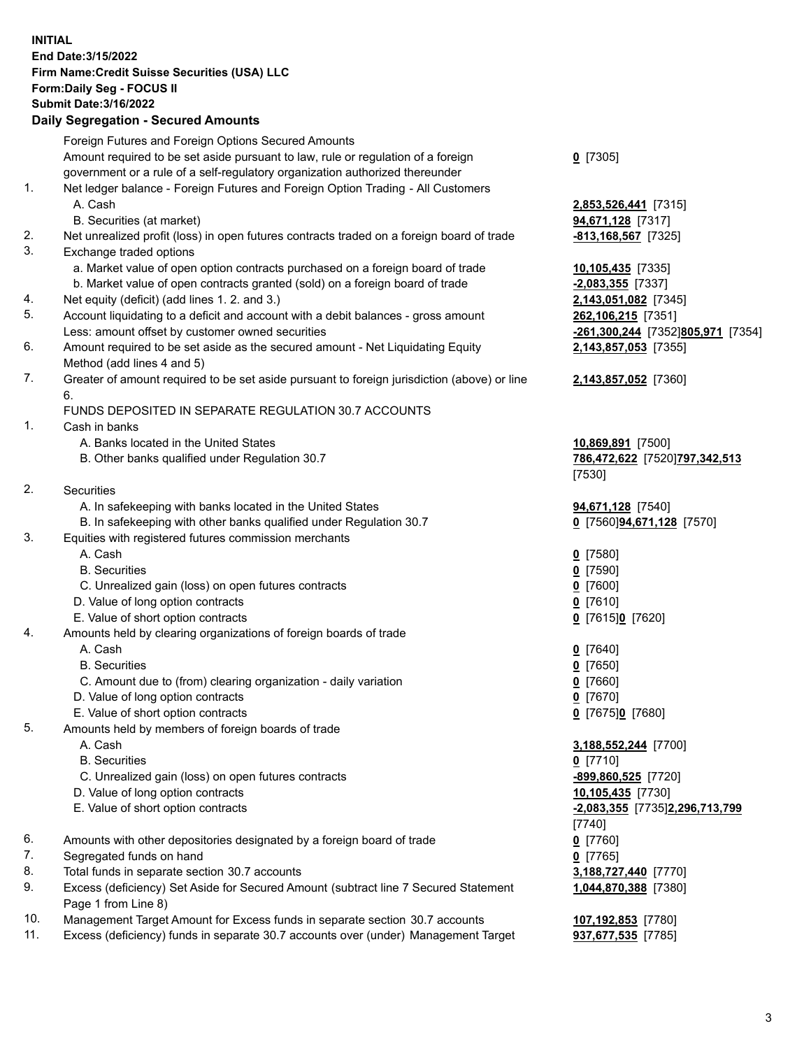**INITIAL End Date:3/15/2022 Firm Name:Credit Suisse Securities (USA) LLC Form:Daily Seg - FOCUS II Submit Date:3/16/2022** 

## **Daily Segregation - Secured Amounts**

|     | Foreign Futures and Foreign Options Secured Amounts                                               |                                   |
|-----|---------------------------------------------------------------------------------------------------|-----------------------------------|
|     | Amount required to be set aside pursuant to law, rule or regulation of a foreign                  | $Q$ [7305]                        |
|     | government or a rule of a self-regulatory organization authorized thereunder                      |                                   |
| 1.  | Net ledger balance - Foreign Futures and Foreign Option Trading - All Customers                   |                                   |
|     | A. Cash                                                                                           | 2,853,526,441 [7315]              |
|     | B. Securities (at market)                                                                         | 94,671,128 [7317]                 |
| 2.  | Net unrealized profit (loss) in open futures contracts traded on a foreign board of trade         | <u>-813,168,567</u> [7325]        |
| 3.  | Exchange traded options                                                                           |                                   |
|     | a. Market value of open option contracts purchased on a foreign board of trade                    | 10,105,435 [7335]                 |
|     | b. Market value of open contracts granted (sold) on a foreign board of trade                      | $-2,083,355$ [7337]               |
| 4.  | Net equity (deficit) (add lines 1. 2. and 3.)                                                     | 2,143,051,082 [7345]              |
| 5.  | Account liquidating to a deficit and account with a debit balances - gross amount                 | 262,106,215 [7351]                |
|     | Less: amount offset by customer owned securities                                                  | -261,300,244 [7352]805,971 [7354] |
| 6.  | Amount required to be set aside as the secured amount - Net Liquidating Equity                    | 2,143,857,053 [7355]              |
|     | Method (add lines 4 and 5)                                                                        |                                   |
| 7.  | Greater of amount required to be set aside pursuant to foreign jurisdiction (above) or line<br>6. | 2,143,857,052 [7360]              |
|     | FUNDS DEPOSITED IN SEPARATE REGULATION 30.7 ACCOUNTS                                              |                                   |
| 1.  | Cash in banks                                                                                     |                                   |
|     | A. Banks located in the United States                                                             | 10,869,891 [7500]                 |
|     | B. Other banks qualified under Regulation 30.7                                                    | 786,472,622 [7520]797,342,513     |
|     |                                                                                                   | [7530]                            |
| 2.  | Securities                                                                                        |                                   |
|     | A. In safekeeping with banks located in the United States                                         | 94,671,128 [7540]                 |
|     | B. In safekeeping with other banks qualified under Regulation 30.7                                | 0 [7560] 94,671,128 [7570]        |
| 3.  | Equities with registered futures commission merchants                                             |                                   |
|     | A. Cash                                                                                           | $0$ [7580]                        |
|     | <b>B.</b> Securities                                                                              | $0$ [7590]                        |
|     | C. Unrealized gain (loss) on open futures contracts                                               | $Q$ [7600]                        |
|     | D. Value of long option contracts                                                                 | $0$ [7610]                        |
|     | E. Value of short option contracts                                                                | 0 [7615]0 [7620]                  |
| 4.  | Amounts held by clearing organizations of foreign boards of trade                                 |                                   |
|     | A. Cash                                                                                           | $0$ [7640]                        |
|     | <b>B.</b> Securities                                                                              | $Q$ [7650]                        |
|     | C. Amount due to (from) clearing organization - daily variation                                   | $0$ [7660]                        |
|     | D. Value of long option contracts                                                                 | $0$ [7670]                        |
|     | E. Value of short option contracts                                                                | 0 [7675]0 [7680]                  |
| 5.  | Amounts held by members of foreign boards of trade                                                |                                   |
|     | A. Cash                                                                                           | 3,188,552,244 [7700]              |
|     | <b>B.</b> Securities                                                                              | $0$ [7710]                        |
|     | C. Unrealized gain (loss) on open futures contracts                                               | -899,860,525 [7720]               |
|     | D. Value of long option contracts                                                                 | 10,105,435 [7730]                 |
|     | E. Value of short option contracts                                                                | -2,083,355 [7735]2,296,713,799    |
|     |                                                                                                   | [7740]                            |
| 6.  | Amounts with other depositories designated by a foreign board of trade                            | $0$ [7760]                        |
| 7.  | Segregated funds on hand                                                                          | $0$ [7765]                        |
| 8.  | Total funds in separate section 30.7 accounts                                                     | 3,188,727,440 [7770]              |
| 9.  | Excess (deficiency) Set Aside for Secured Amount (subtract line 7 Secured Statement               | 1,044,870,388 [7380]              |
|     | Page 1 from Line 8)                                                                               |                                   |
| 10. | Management Target Amount for Excess funds in separate section 30.7 accounts                       | 107,192,853 [7780]                |
| 11. | Excess (deficiency) funds in separate 30.7 accounts over (under) Management Target                | 937,677,535 [7785]                |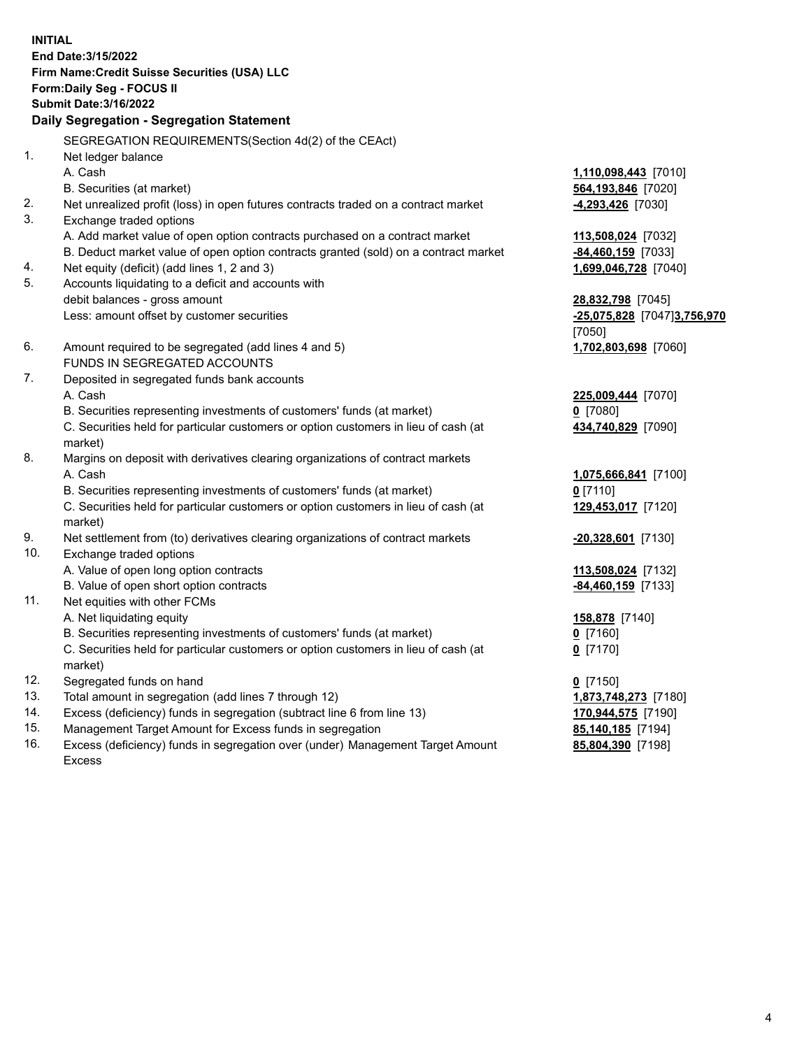**INITIAL End Date:3/15/2022 Firm Name:Credit Suisse Securities (USA) LLC Form:Daily Seg - FOCUS II Submit Date:3/16/2022 Daily Segregation - Segregation Statement**  SEGREGATION REQUIREMENTS(Section 4d(2) of the CEAct) 1. Net ledger balance A. Cash **1,110,098,443** [7010] B. Securities (at market) **564,193,846** [7020] 2. Net unrealized profit (loss) in open futures contracts traded on a contract market **-4,293,426** [7030] 3. Exchange traded options A. Add market value of open option contracts purchased on a contract market **113,508,024** [7032] B. Deduct market value of open option contracts granted (sold) on a contract market **-84,460,159** [7033] 4. Net equity (deficit) (add lines 1, 2 and 3) **1,699,046,728** [7040] 5. Accounts liquidating to a deficit and accounts with debit balances - gross amount **28,832,798** [7045] Less: amount offset by customer securities **-25,075,828** [7047] **3,756,970**  [7050] 6. Amount required to be segregated (add lines 4 and 5) **1,702,803,698** [7060] FUNDS IN SEGREGATED ACCOUNTS 7. Deposited in segregated funds bank accounts A. Cash **225,009,444** [7070] B. Securities representing investments of customers' funds (at market) **0** [7080] C. Securities held for particular customers or option customers in lieu of cash (at **434,740,829** [7090] market) 8. Margins on deposit with derivatives clearing organizations of contract markets A. Cash **1,075,666,841** [7100] B. Securities representing investments of customers' funds (at market) **0** [7110] C. Securities held for particular customers or option customers in lieu of cash (at **129,453,017** [7120] market) 9. Net settlement from (to) derivatives clearing organizations of contract markets **-20,328,601** [7130] 10. Exchange traded options A. Value of open long option contracts **113,508,024** [7132] B. Value of open short option contracts **and the set of our original state of the set of open** short option contracts 11. Net equities with other FCMs A. Net liquidating equity **158,878** [7140] B. Securities representing investments of customers' funds (at market) **0** [7160] C. Securities held for particular customers or option customers in lieu of cash (at **0** [7170] market) 12. Segregated funds on hand **0** [7150] 13. Total amount in segregation (add lines 7 through 12) **1,873,748,273** [7180]

- 14. Excess (deficiency) funds in segregation (subtract line 6 from line 13) **170,944,575** [7190]
- 15. Management Target Amount for Excess funds in segregation **85,140,185** [7194]
- 16. Excess (deficiency) funds in segregation over (under) Management Target Amount **85,804,390** [7198] Excess